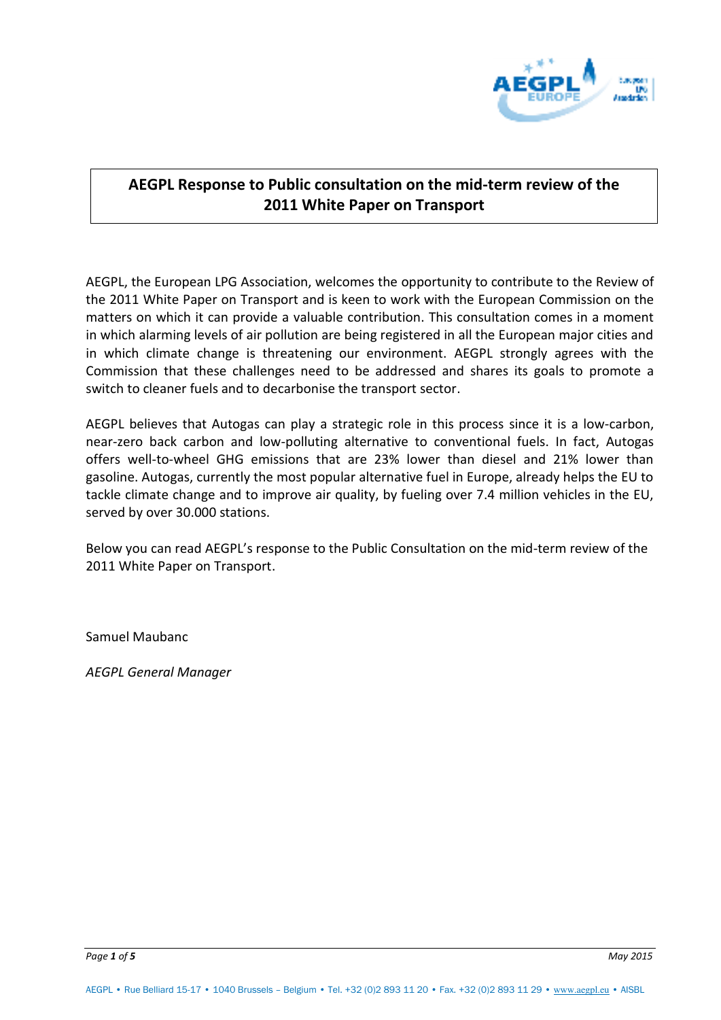

# **AEGPL Response to Public consultation on the mid-term review of the 2011 White Paper on Transport**

AEGPL, the European LPG Association, welcomes the opportunity to contribute to the Review of the 2011 White Paper on Transport and is keen to work with the European Commission on the matters on which it can provide a valuable contribution. This consultation comes in a moment in which alarming levels of air pollution are being registered in all the European major cities and in which climate change is threatening our environment. AEGPL strongly agrees with the Commission that these challenges need to be addressed and shares its goals to promote a switch to cleaner fuels and to decarbonise the transport sector.

AEGPL believes that Autogas can play a strategic role in this process since it is a low-carbon, near-zero back carbon and low-polluting alternative to conventional fuels. In fact, Autogas offers well-to-wheel GHG emissions that are 23% lower than diesel and 21% lower than gasoline. Autogas, currently the most popular alternative fuel in Europe, already helps the EU to tackle climate change and to improve air quality, by fueling over 7.4 million vehicles in the EU, served by over 30.000 stations.

Below you can read AEGPL's response to the Public Consultation on the mid-term review of the 2011 White Paper on Transport.

Samuel Maubanc

*AEGPL General Manager*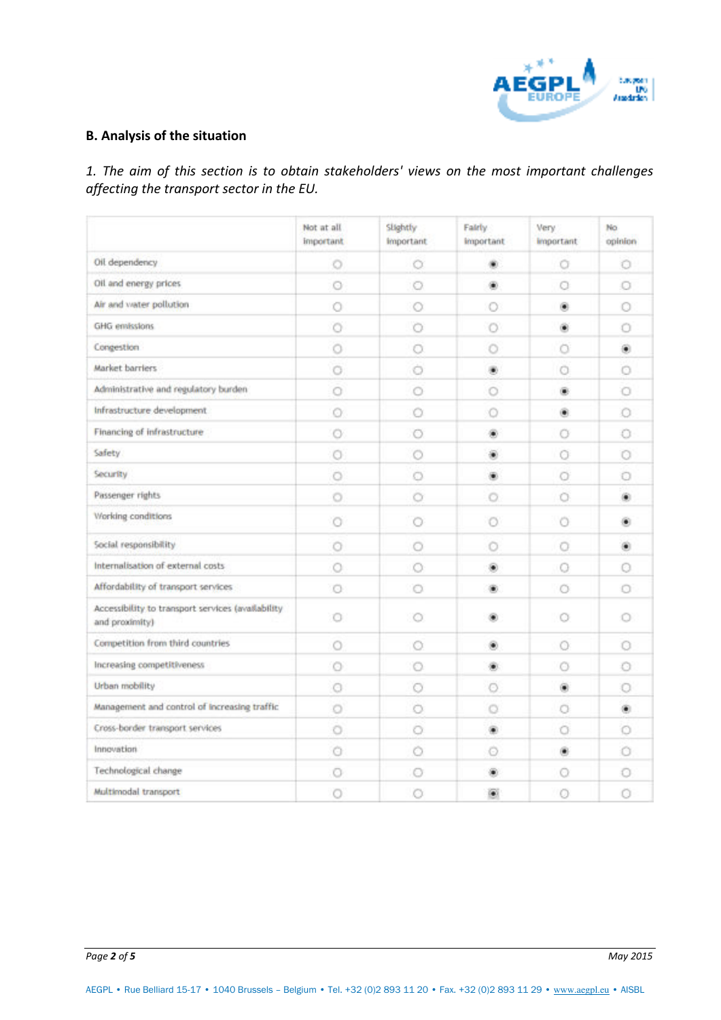

## **B. Analysis of the situation**

*1. The aim of this section is to obtain stakeholders' views on the most important challenges affecting the transport sector in the EU.* 

|                                                                     | Not at all<br>important | Slightly<br><i>important</i> | Fairly.<br><i>important</i> | Very.<br><i>important</i> | No<br>opinion |
|---------------------------------------------------------------------|-------------------------|------------------------------|-----------------------------|---------------------------|---------------|
| Oil dependency                                                      | O                       | o                            | ۰                           | Ō                         | o             |
| Oil and energy prices                                               | o                       | o                            | ۰                           | o                         | o             |
| Air and water pollution                                             | O                       | o                            | Ο                           | ۰                         | O             |
| GHG envissions                                                      | Ó                       | Ō                            | $\circ$                     | ۵                         | o             |
| Congestion                                                          | O                       | 0                            | o                           | O                         | ۵             |
| Market barriers                                                     | Ō                       | o                            | ۰                           | O                         | o             |
| Administrative and regulatory burden                                | Ο                       | o                            | o                           | ۰                         | o             |
| Infrastructure development                                          | o                       | o                            | o                           | ۰                         | o             |
| Financing of infrastructure                                         | O                       | 0                            | œ                           | Ο                         | 0             |
| Safety                                                              | O                       | o                            | ۰                           | Θ                         | ο             |
| Security                                                            | o                       | o                            | œ                           | Ō                         | o             |
| Passenger rights                                                    | O                       | Ō                            | $\circ$                     | Ö                         | ۰             |
| Working conditions                                                  | o                       | o                            | o                           | o                         | ۰             |
| Social responsibility                                               | o                       | o                            | ⊙                           | o                         | ۰             |
| Internalisation of external costs                                   | 0                       | o                            | ۰                           | O                         | o             |
| Affordability of transport services                                 | o                       | o                            | ⊛                           | o                         | Ω             |
| Accessibility to transport services (availability<br>and proximity) | ō                       | o                            |                             | o                         | O             |
| Competition from third countries                                    | O                       | o                            | ۰                           | Ο                         | o             |
| Increasing competitiveness                                          | o                       | O                            | ۰                           | O                         | o             |
| Urban mobility                                                      | Θ                       | o                            | Θ                           | ۰                         | o             |
| Management and control of increasing traffic                        | Ö                       | O                            | o                           | Ö                         | ۰             |
| Cross-border transport services                                     | o                       | o                            | ۰                           | Ο                         | o             |
| Innovation                                                          | o                       | o                            | o                           | ۰                         | o             |
| Technological change                                                | o                       | O                            |                             | Θ                         | 0             |
| Multimodal transport                                                | o                       | 0                            | 圖                           | Ο                         | Ō             |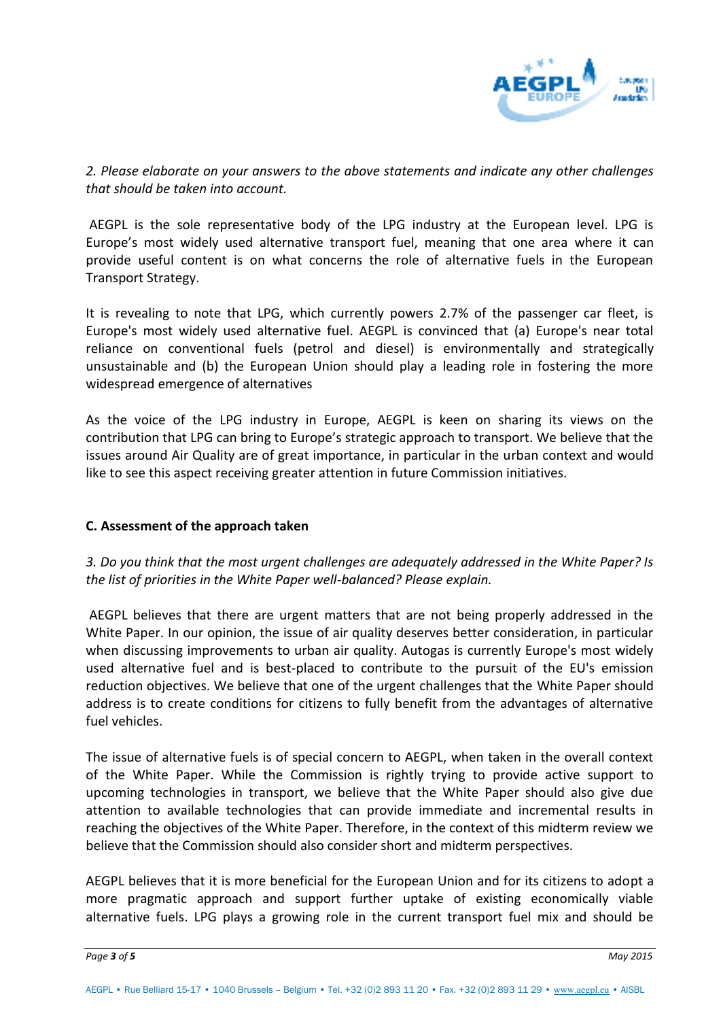

*2. Please elaborate on your answers to the above statements and indicate any other challenges that should be taken into account.* 

 AEGPL is the sole representative body of the LPG industry at the European level. LPG is Europe's most widely used alternative transport fuel, meaning that one area where it can provide useful content is on what concerns the role of alternative fuels in the European Transport Strategy.

It is revealing to note that LPG, which currently powers 2.7% of the passenger car fleet, is Europe's most widely used alternative fuel. AEGPL is convinced that (a) Europe's near total reliance on conventional fuels (petrol and diesel) is environmentally and strategically unsustainable and (b) the European Union should play a leading role in fostering the more widespread emergence of alternatives

As the voice of the LPG industry in Europe, AEGPL is keen on sharing its views on the contribution that LPG can bring to Europe's strategic approach to transport. We believe that the issues around Air Quality are of great importance, in particular in the urban context and would like to see this aspect receiving greater attention in future Commission initiatives.

### **C. Assessment of the approach taken**

*3. Do you think that the most urgent challenges are adequately addressed in the White Paper? Is the list of priorities in the White Paper well-balanced? Please explain.* 

 AEGPL believes that there are urgent matters that are not being properly addressed in the White Paper. In our opinion, the issue of air quality deserves better consideration, in particular when discussing improvements to urban air quality. Autogas is currently Europe's most widely used alternative fuel and is best-placed to contribute to the pursuit of the EU's emission reduction objectives. We believe that one of the urgent challenges that the White Paper should address is to create conditions for citizens to fully benefit from the advantages of alternative fuel vehicles.

The issue of alternative fuels is of special concern to AEGPL, when taken in the overall context of the White Paper. While the Commission is rightly trying to provide active support to upcoming technologies in transport, we believe that the White Paper should also give due attention to available technologies that can provide immediate and incremental results in reaching the objectives of the White Paper. Therefore, in the context of this midterm review we believe that the Commission should also consider short and midterm perspectives.

AEGPL believes that it is more beneficial for the European Union and for its citizens to adopt a more pragmatic approach and support further uptake of existing economically viable alternative fuels. LPG plays a growing role in the current transport fuel mix and should be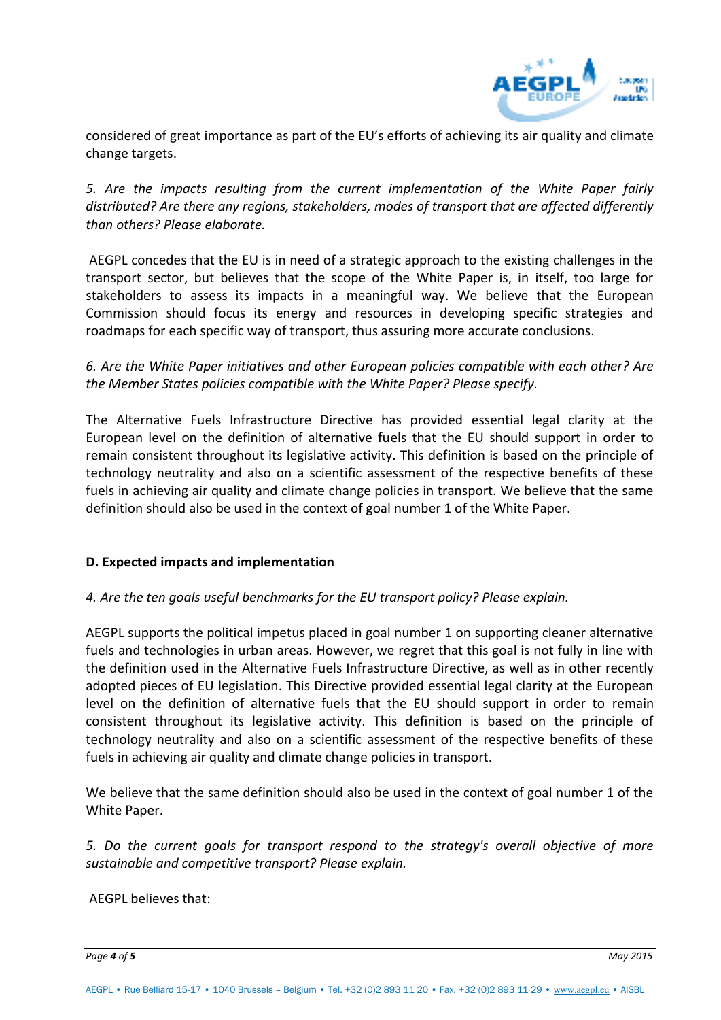

considered of great importance as part of the EU's efforts of achieving its air quality and climate change targets.

*5. Are the impacts resulting from the current implementation of the White Paper fairly distributed? Are there any regions, stakeholders, modes of transport that are affected differently than others? Please elaborate.*

 AEGPL concedes that the EU is in need of a strategic approach to the existing challenges in the transport sector, but believes that the scope of the White Paper is, in itself, too large for stakeholders to assess its impacts in a meaningful way. We believe that the European Commission should focus its energy and resources in developing specific strategies and roadmaps for each specific way of transport, thus assuring more accurate conclusions.

*6. Are the White Paper initiatives and other European policies compatible with each other? Are the Member States policies compatible with the White Paper? Please specify.* 

The Alternative Fuels Infrastructure Directive has provided essential legal clarity at the European level on the definition of alternative fuels that the EU should support in order to remain consistent throughout its legislative activity. This definition is based on the principle of technology neutrality and also on a scientific assessment of the respective benefits of these fuels in achieving air quality and climate change policies in transport. We believe that the same definition should also be used in the context of goal number 1 of the White Paper.

### **D. Expected impacts and implementation**

### *4. Are the ten goals useful benchmarks for the EU transport policy? Please explain.*

AEGPL supports the political impetus placed in goal number 1 on supporting cleaner alternative fuels and technologies in urban areas. However, we regret that this goal is not fully in line with the definition used in the Alternative Fuels Infrastructure Directive, as well as in other recently adopted pieces of EU legislation. This Directive provided essential legal clarity at the European level on the definition of alternative fuels that the EU should support in order to remain consistent throughout its legislative activity. This definition is based on the principle of technology neutrality and also on a scientific assessment of the respective benefits of these fuels in achieving air quality and climate change policies in transport.

We believe that the same definition should also be used in the context of goal number 1 of the White Paper.

*5. Do the current goals for transport respond to the strategy's overall objective of more sustainable and competitive transport? Please explain.* 

AEGPL believes that:

*Page 4 of 5 May 2015*